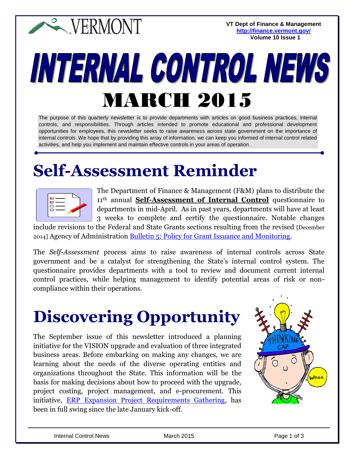**EXPERMONT** 

**VT Dept of Finance & Management <http://finance.vermont.gov/> Volume 10 Issue 1**

# INTERNAL CONTROL NEWS MARCH 2015

The purpose of this quarterly newsletter is to provide departments with articles on good business practices, internal controls, and responsibilities. Through articles intended to promote educational and professional development opportunities for employees, this newsletter seeks to raise awareness across state government on the importance of internal controls. We hope that by providing this array of information, we can keep you informed of internal control related activities, and help you implement and maintain effective controls in your areas of operation.

#### **Self-Assessment Reminder**

| $\frac{6}{100}$ |
|-----------------|
|                 |

The Department of Finance & Management (F&M) plans to distribute the 11th annual **Self-Assessment of Internal Control** questionnaire to departments in mid-April. As in past years, departments will have at least 3 weeks to complete and certify the questionnaire. Notable changes

include revisions to the Federal and State Grants sections resulting from the revised [December 2014] Agency of Administration [Bulletin 5: Policy for Grant Issuance and Monitoring.](http://aoa.vermont.gov/bulletins)

The *Self-Assessment* process aims to raise awareness of internal controls across State government and be a catalyst for strengthening the State's internal control system. The questionnaire provides departments with a tool to review and document current internal control practices, while helping management to identify potential areas of risk or noncompliance within their operations.

## **Discovering Opportunity**

The September issue of this newsletter introduced a planning initiative for the VISION upgrade and evaluation of three integrated business areas. Before embarking on making any changes, we are learning about the needs of the diverse operating entities and organizations throughout the State. This information will be the basis for making decisions about how to proceed with the upgrade, project costing, project management, and e-procurement. This initiative, [ERP Expansion Project Requirements Gathering,](http://aoa.vermont.gov/erpII) has been in full swing since the late January kick-off.

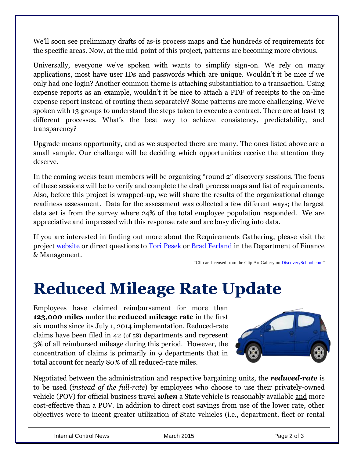We'll soon see preliminary drafts of as-is process maps and the hundreds of requirements for the specific areas. Now, at the mid-point of this project, patterns are becoming more obvious.

Universally, everyone we've spoken with wants to simplify sign-on. We rely on many applications, most have user IDs and passwords which are unique. Wouldn't it be nice if we only had one login? Another common theme is attaching substantiation to a transaction. Using expense reports as an example, wouldn't it be nice to attach a PDF of receipts to the on-line expense report instead of routing them separately? Some patterns are more challenging. We've spoken with 13 groups to understand the steps taken to execute a contract. There are at least 13 different processes. What's the best way to achieve consistency, predictability, and transparency?

Upgrade means opportunity, and as we suspected there are many. The ones listed above are a small sample. Our challenge will be deciding which opportunities receive the attention they deserve.

In the coming weeks team members will be organizing "round 2" discovery sessions. The focus of these sessions will be to verify and complete the draft process maps and list of requirements. Also, before this project is wrapped-up, we will share the results of the organizational change readiness assessment. Data for the assessment was collected a few different ways; the largest data set is from the survey where 24% of the total employee population responded. We are appreciative and impressed with this response rate and are busy diving into data.

If you are interested in finding out more about the Requirements Gathering, please visit the project [website](http://aoa.vermont.gov/erpII) or direct questions to [Tori Pesek](mailto:tori.pesek@state.vt.us) or [Brad Ferland](mailto:brad.ferland@state.vt.us) in the Department of Finance & Management.

"Clip art licensed from the Clip Art Gallery o[n DiscoverySchool.com"](http://www.discoveryeducation.com/)

#### **Reduced Mileage Rate Update**

Employees have claimed reimbursement for more than **123,000 miles** under the **reduced mileage rate** in the first six months since its July 1, 2014 implementation. Reduced-rate claims have been filed in 42 (of 58) departments and represent 3% of all reimbursed mileage during this period. However, the concentration of claims is primarily in 9 departments that in total account for nearly 80% of all reduced-rate miles.



Negotiated between the administration and respective bargaining units, the *reduced-rate* is to be used (*instead of the full-rate*) by employees who choose to use their privately-owned vehicle (POV) for official business travel *when* a State vehicle is reasonably available and more cost-effective than a POV. In addition to direct cost savings from use of the lower rate, other objectives were to incent greater utilization of State vehicles (i.e., department, fleet or rental